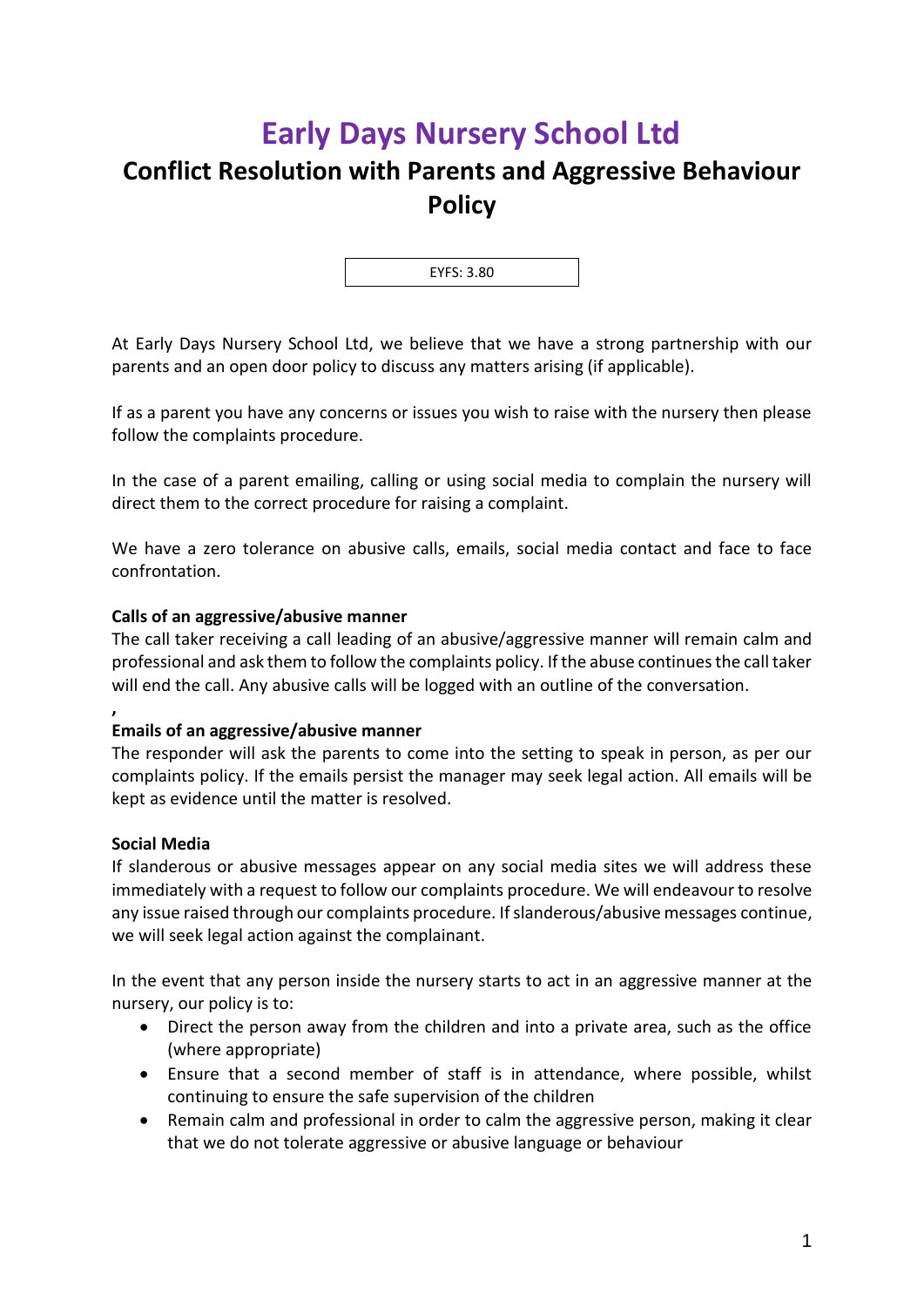# **Early Days Nursery School Ltd**

## **Conflict Resolution with Parents and Aggressive Behaviour Policy**

EYFS: 3.80

At Early Days Nursery School Ltd, we believe that we have a strong partnership with our parents and an open door policy to discuss any matters arising (if applicable).

If as a parent you have any concerns or issues you wish to raise with the nursery then please follow the complaints procedure.

In the case of a parent emailing, calling or using social media to complain the nursery will direct them to the correct procedure for raising a complaint.

We have a zero tolerance on abusive calls, emails, social media contact and face to face confrontation.

### **Calls of an aggressive/abusive manner**

The call taker receiving a call leading of an abusive/aggressive manner will remain calm and professional and ask them to follow the complaints policy. If the abuse continues the call taker will end the call. Any abusive calls will be logged with an outline of the conversation.

### **Emails of an aggressive/abusive manner**

The responder will ask the parents to come into the setting to speak in person, as per our complaints policy. If the emails persist the manager may seek legal action. All emails will be kept as evidence until the matter is resolved.

#### **Social Media**

**,**

If slanderous or abusive messages appear on any social media sites we will address these immediately with a request to follow our complaints procedure. We will endeavour to resolve any issue raised through our complaints procedure. If slanderous/abusive messages continue, we will seek legal action against the complainant.

In the event that any person inside the nursery starts to act in an aggressive manner at the nursery, our policy is to:

- Direct the person away from the children and into a private area, such as the office (where appropriate)
- Ensure that a second member of staff is in attendance, where possible, whilst continuing to ensure the safe supervision of the children
- Remain calm and professional in order to calm the aggressive person, making it clear that we do not tolerate aggressive or abusive language or behaviour